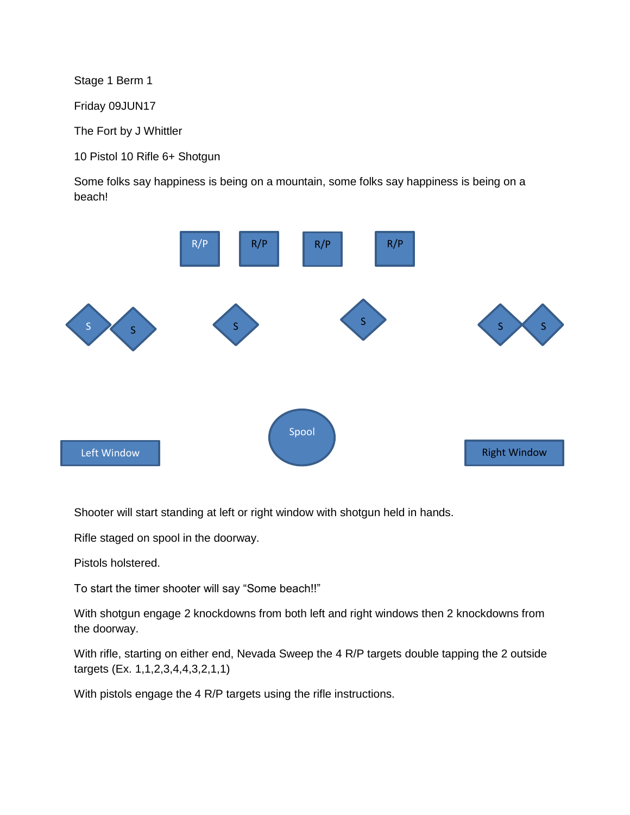Stage 1 Berm 1

Friday 09JUN17

The Fort by J Whittler

10 Pistol 10 Rifle 6+ Shotgun

Some folks say happiness is being on a mountain, some folks say happiness is being on a beach!



Shooter will start standing at left or right window with shotgun held in hands.

Rifle staged on spool in the doorway.

Pistols holstered.

To start the timer shooter will say "Some beach!!"

With shotgun engage 2 knockdowns from both left and right windows then 2 knockdowns from the doorway.

With rifle, starting on either end, Nevada Sweep the 4 R/P targets double tapping the 2 outside targets (Ex. 1,1,2,3,4,4,3,2,1,1)

With pistols engage the 4 R/P targets using the rifle instructions.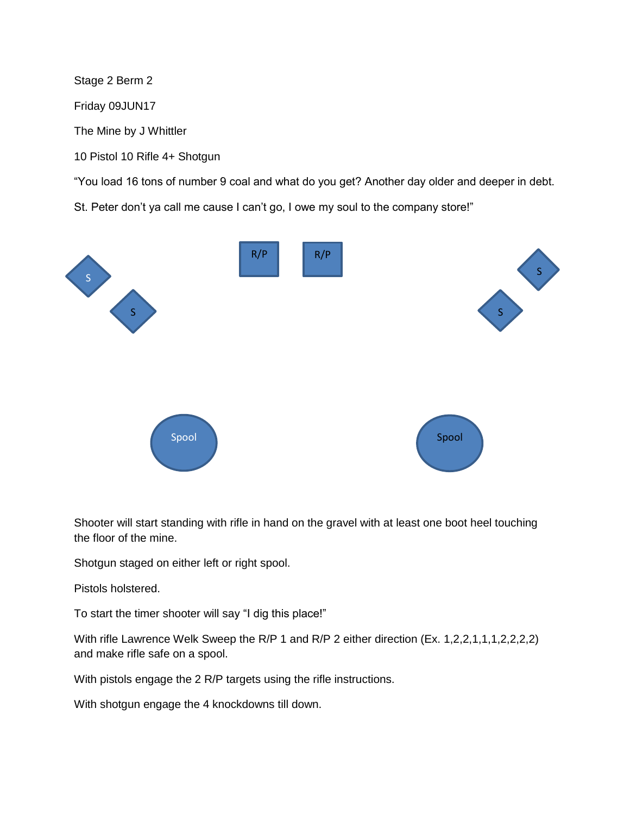Stage 2 Berm 2

Friday 09JUN17

The Mine by J Whittler

10 Pistol 10 Rifle 4+ Shotgun

"You load 16 tons of number 9 coal and what do you get? Another day older and deeper in debt.

St. Peter don't ya call me cause I can't go, I owe my soul to the company store!"



Shooter will start standing with rifle in hand on the gravel with at least one boot heel touching the floor of the mine.

Shotgun staged on either left or right spool.

Pistols holstered.

To start the timer shooter will say "I dig this place!"

With rifle Lawrence Welk Sweep the R/P 1 and R/P 2 either direction (Ex. 1,2,2,1,1,1,2,2,2,2) and make rifle safe on a spool.

With pistols engage the 2 R/P targets using the rifle instructions.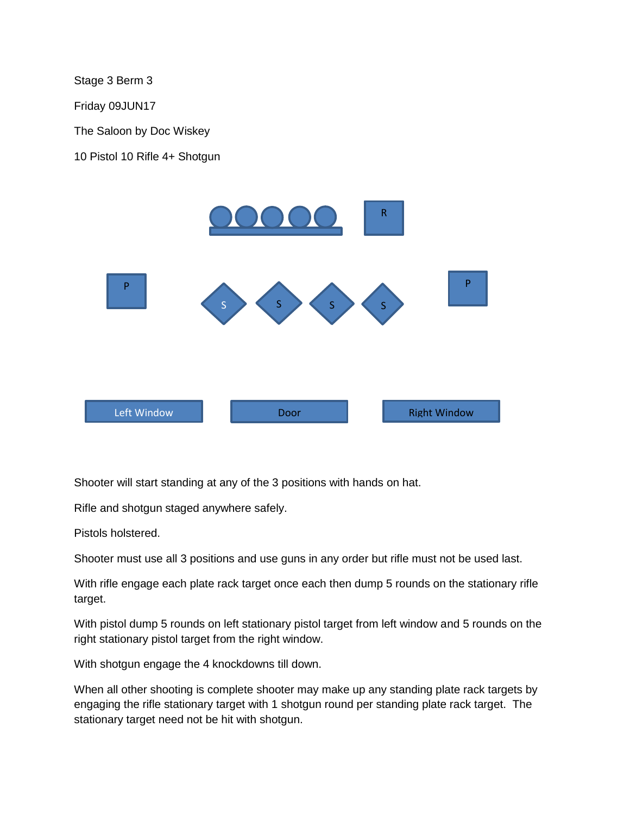Stage 3 Berm 3 Friday 09JUN17 The Saloon by Doc Wiskey





Shooter will start standing at any of the 3 positions with hands on hat.

Rifle and shotgun staged anywhere safely.

Pistols holstered.

Shooter must use all 3 positions and use guns in any order but rifle must not be used last.

With rifle engage each plate rack target once each then dump 5 rounds on the stationary rifle target.

With pistol dump 5 rounds on left stationary pistol target from left window and 5 rounds on the right stationary pistol target from the right window.

With shotgun engage the 4 knockdowns till down.

When all other shooting is complete shooter may make up any standing plate rack targets by engaging the rifle stationary target with 1 shotgun round per standing plate rack target. The stationary target need not be hit with shotgun.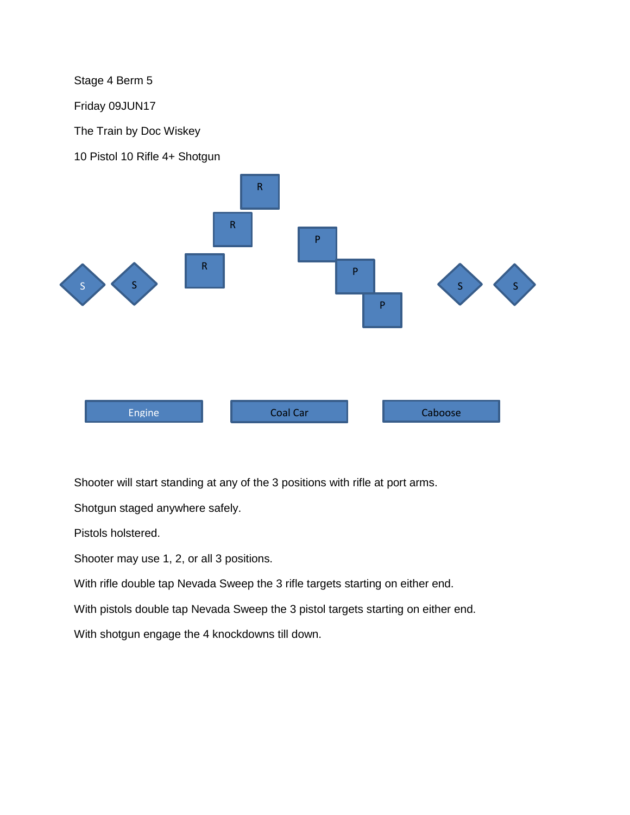Stage 4 Berm 5

Friday 09JUN17

The Train by Doc Wiskey

10 Pistol 10 Rifle 4+ Shotgun



Shooter will start standing at any of the 3 positions with rifle at port arms.

Shotgun staged anywhere safely.

Pistols holstered.

Shooter may use 1, 2, or all 3 positions.

With rifle double tap Nevada Sweep the 3 rifle targets starting on either end.

With pistols double tap Nevada Sweep the 3 pistol targets starting on either end.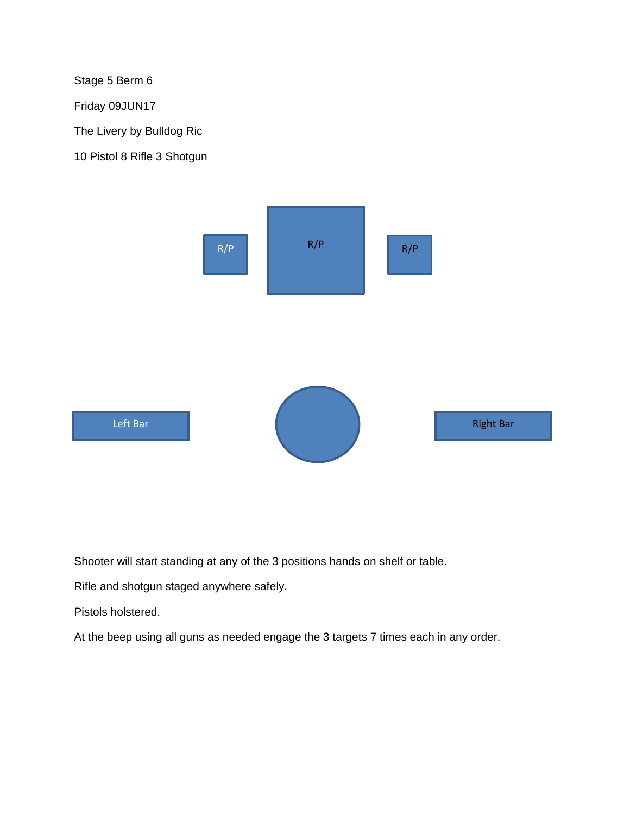Stage 5 Berm 6

Friday 09JUN17

The Livery by Bulldog Ric

10 Pistol 8 Rifle 3 Shotgun



Shooter will start standing at any of the 3 positions hands on shelf or table.

Rifle and shotgun staged anywhere safely.

Pistols holstered.

At the beep using all guns as needed engage the 3 targets 7 times each in any order.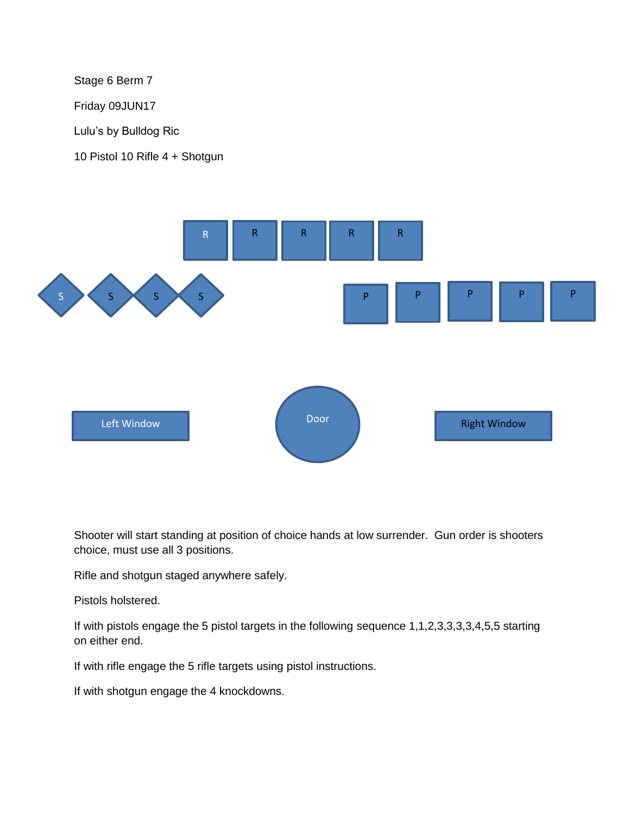Stage 6 Berm 7

Friday 09JUN17

Lulu's by Bulldog Ric

10 Pistol 10 Rifle 4 + Shotgun



Shooter will start standing at position of choice hands at low surrender. Gun order is shooters choice, must use all 3 positions.

Rifle and shotgun staged anywhere safely.

Pistols holstered.

If with pistols engage the 5 pistol targets in the following sequence 1,1,2,3,3,3,3,4,5,5 starting on either end.

If with rifle engage the 5 rifle targets using pistol instructions.

If with shotgun engage the 4 knockdowns.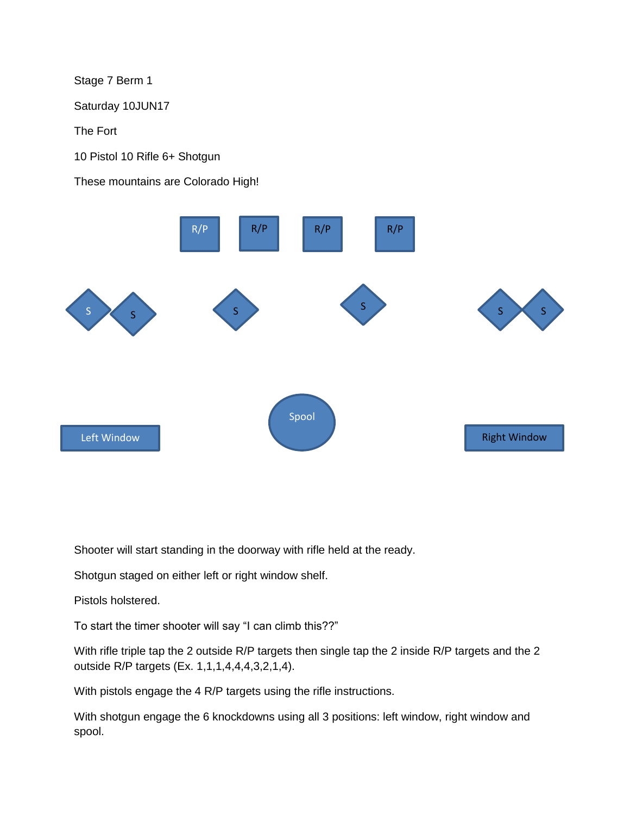Stage 7 Berm 1

Saturday 10JUN17

The Fort

10 Pistol 10 Rifle 6+ Shotgun

These mountains are Colorado High!



Shooter will start standing in the doorway with rifle held at the ready.

Shotgun staged on either left or right window shelf.

Pistols holstered.

To start the timer shooter will say "I can climb this??"

With rifle triple tap the 2 outside R/P targets then single tap the 2 inside R/P targets and the 2 outside R/P targets (Ex. 1,1,1,4,4,4,3,2,1,4).

With pistols engage the 4 R/P targets using the rifle instructions.

With shotgun engage the 6 knockdowns using all 3 positions: left window, right window and spool.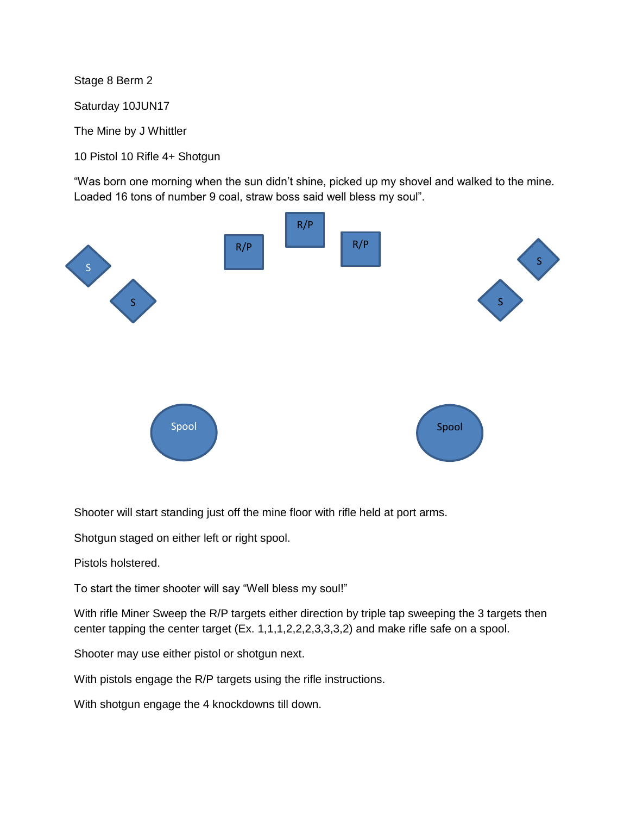Stage 8 Berm 2

Saturday 10JUN17

The Mine by J Whittler

10 Pistol 10 Rifle 4+ Shotgun

"Was born one morning when the sun didn't shine, picked up my shovel and walked to the mine. Loaded 16 tons of number 9 coal, straw boss said well bless my soul".



Shooter will start standing just off the mine floor with rifle held at port arms.

Shotgun staged on either left or right spool.

Pistols holstered.

To start the timer shooter will say "Well bless my soul!"

With rifle Miner Sweep the R/P targets either direction by triple tap sweeping the 3 targets then center tapping the center target (Ex. 1,1,1,2,2,2,3,3,3,2) and make rifle safe on a spool.

Shooter may use either pistol or shotgun next.

With pistols engage the R/P targets using the rifle instructions.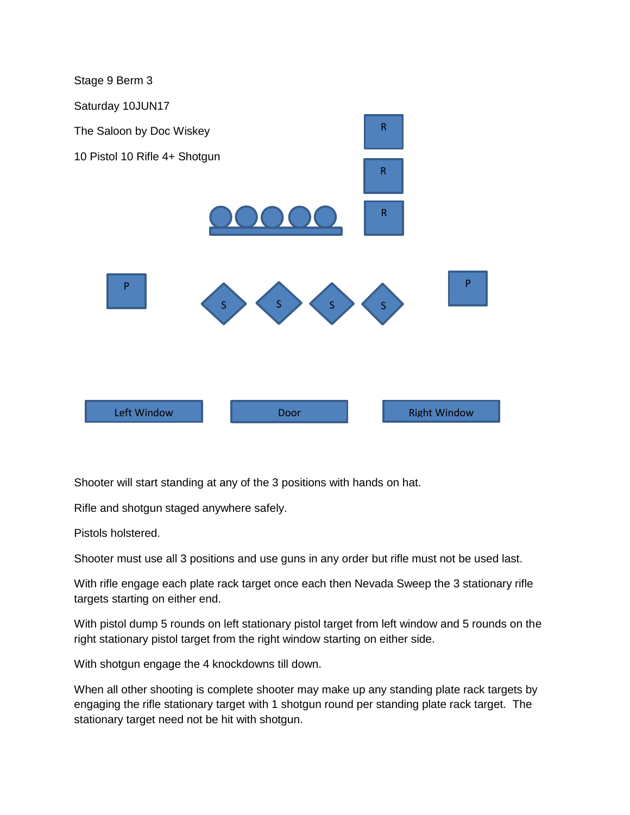

Shooter will start standing at any of the 3 positions with hands on hat.

Rifle and shotgun staged anywhere safely.

Pistols holstered.

Shooter must use all 3 positions and use guns in any order but rifle must not be used last.

With rifle engage each plate rack target once each then Nevada Sweep the 3 stationary rifle targets starting on either end.

With pistol dump 5 rounds on left stationary pistol target from left window and 5 rounds on the right stationary pistol target from the right window starting on either side.

With shotgun engage the 4 knockdowns till down.

When all other shooting is complete shooter may make up any standing plate rack targets by engaging the rifle stationary target with 1 shotgun round per standing plate rack target. The stationary target need not be hit with shotgun.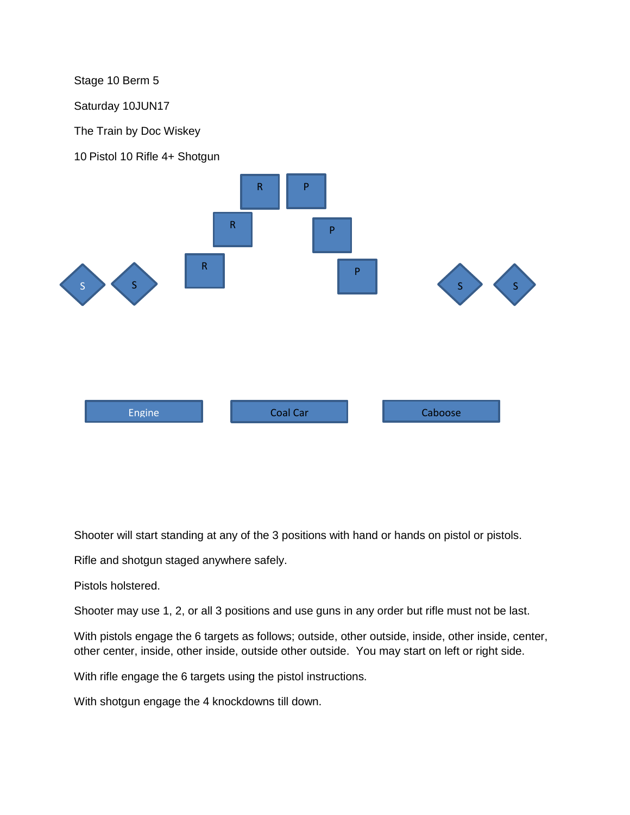Stage 10 Berm 5

Saturday 10JUN17

The Train by Doc Wiskey

10 Pistol 10 Rifle 4+ Shotgun



Shooter will start standing at any of the 3 positions with hand or hands on pistol or pistols.

Rifle and shotgun staged anywhere safely.

Pistols holstered.

Shooter may use 1, 2, or all 3 positions and use guns in any order but rifle must not be last.

With pistols engage the 6 targets as follows; outside, other outside, inside, other inside, center, other center, inside, other inside, outside other outside. You may start on left or right side.

With rifle engage the 6 targets using the pistol instructions.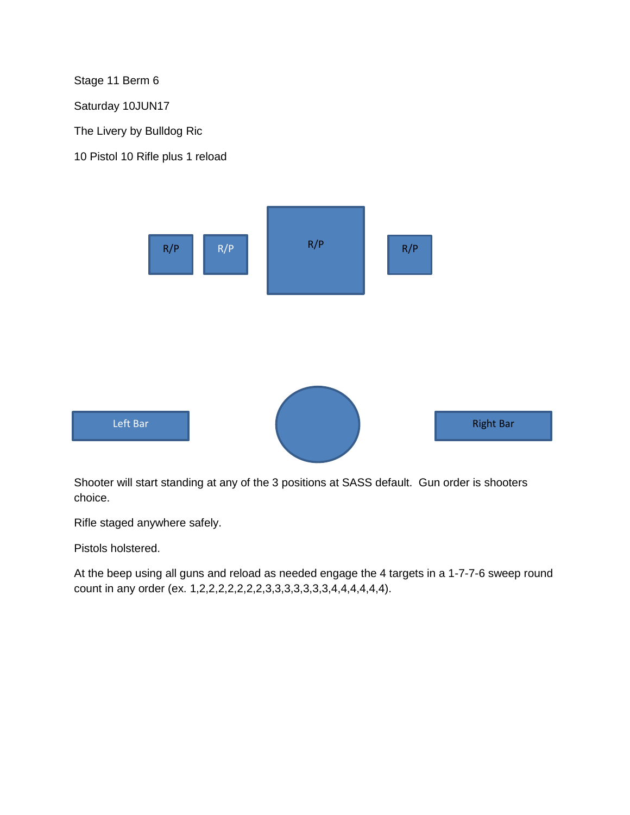Stage 11 Berm 6

Saturday 10JUN17

The Livery by Bulldog Ric

10 Pistol 10 Rifle plus 1 reload



Shooter will start standing at any of the 3 positions at SASS default. Gun order is shooters choice.

Rifle staged anywhere safely.

Pistols holstered.

At the beep using all guns and reload as needed engage the 4 targets in a 1-7-7-6 sweep round count in any order (ex. 1,2,2,2,2,2,2,2,3,3,3,3,3,3,3,4,4,4,4,4,4).